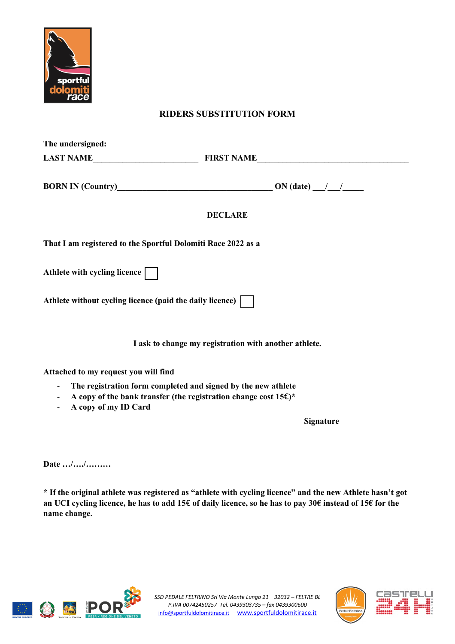

## **RIDERS SUBSTITUTION FORM**

| The undersigned:                                             |                                                                 |  |
|--------------------------------------------------------------|-----------------------------------------------------------------|--|
|                                                              |                                                                 |  |
|                                                              |                                                                 |  |
|                                                              | <b>DECLARE</b>                                                  |  |
| That I am registered to the Sportful Dolomiti Race 2022 as a |                                                                 |  |
| Athlete with cycling licence                                 |                                                                 |  |
| Athlete without cycling licence (paid the daily licence)     |                                                                 |  |
|                                                              | I ask to change my registration with another athlete.           |  |
| Attached to my request you will find                         |                                                                 |  |
|                                                              | - The registration form completed and signed by the new athlete |  |

- **A copy of the bank transfer (the registration change cost 15**€**)\***
- **A copy of my ID Card**

 **Signature**

**Date …/…./………**

**\* If the original athlete was registered as "athlete with cycling licence" and the new Athlete hasn't got an UCI cycling licence, he has to add 15**€ **of daily licence, so he has to pay 30€ instead of 15€ for the name change.**